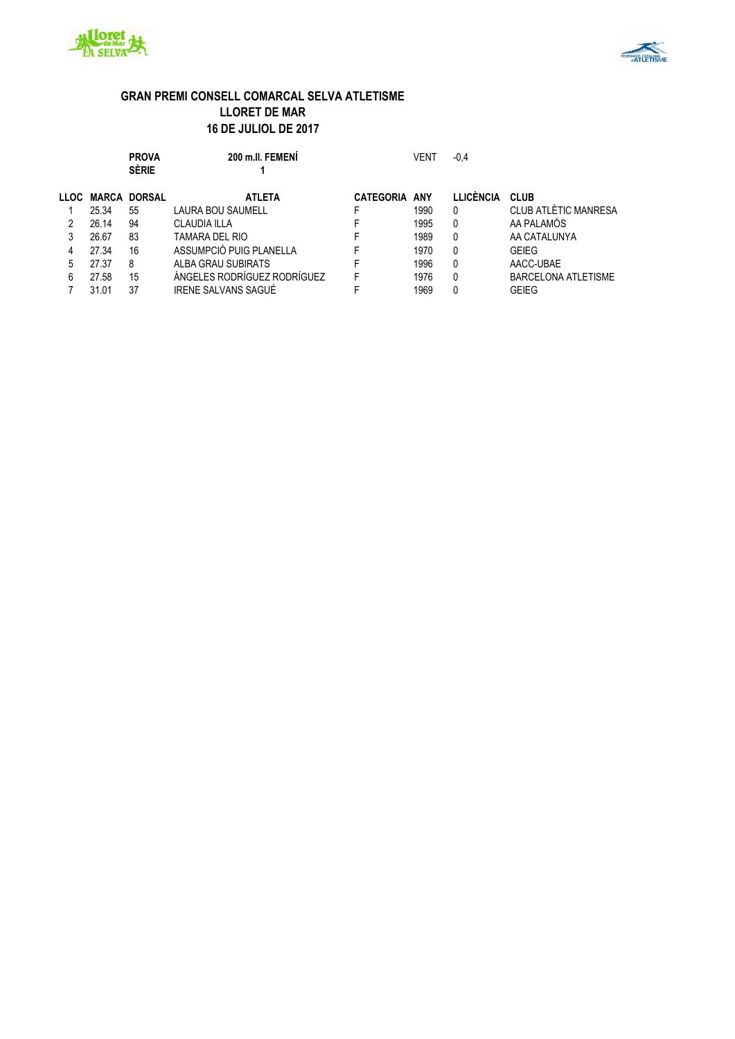



**PROVA 200 m.ll. FEMENÍ** VENT -0,4

|               |              | <b>SÈRIE</b>  |                             |                      |      |           |                            |
|---------------|--------------|---------------|-----------------------------|----------------------|------|-----------|----------------------------|
| LLOC <b>L</b> | <b>MARCA</b> | <b>DORSAL</b> | <b>ATLETA</b>               | <b>CATEGORIA ANY</b> |      | LLICÈNCIA | <b>CLUB</b>                |
|               | 25.34        | 55            | <b>LAURA BOU SAUMELL</b>    |                      | 1990 | 0         | CLUB ATLÈTIC MANRESA       |
|               | 26.14        | 94            | <b>CLAUDIA ILLA</b>         |                      | 1995 | 0         | AA PALAMÓS                 |
|               | 26.67        | 83            | TAMARA DEL RIO              |                      | 1989 | 0         | AA CATALUNYA               |
|               | 27.34        | 16            | ASSUMPCIÓ PUIG PLANELLA     |                      | 1970 |           | <b>GEIEG</b>               |
| 5             | 27.37        | 8             | ALBA GRAU SUBIRATS          |                      | 1996 | 0         | AACC-UBAE                  |
| 6             | 27.58        | 15            | ÁNGELES RODRÍGUEZ RODRÍGUEZ |                      | 1976 | 0         | <b>BARCELONA ATLETISME</b> |
|               | 31.01        | 37            | IRENE SALVANS SAGUÉ         |                      | 1969 |           | <b>GEIEG</b>               |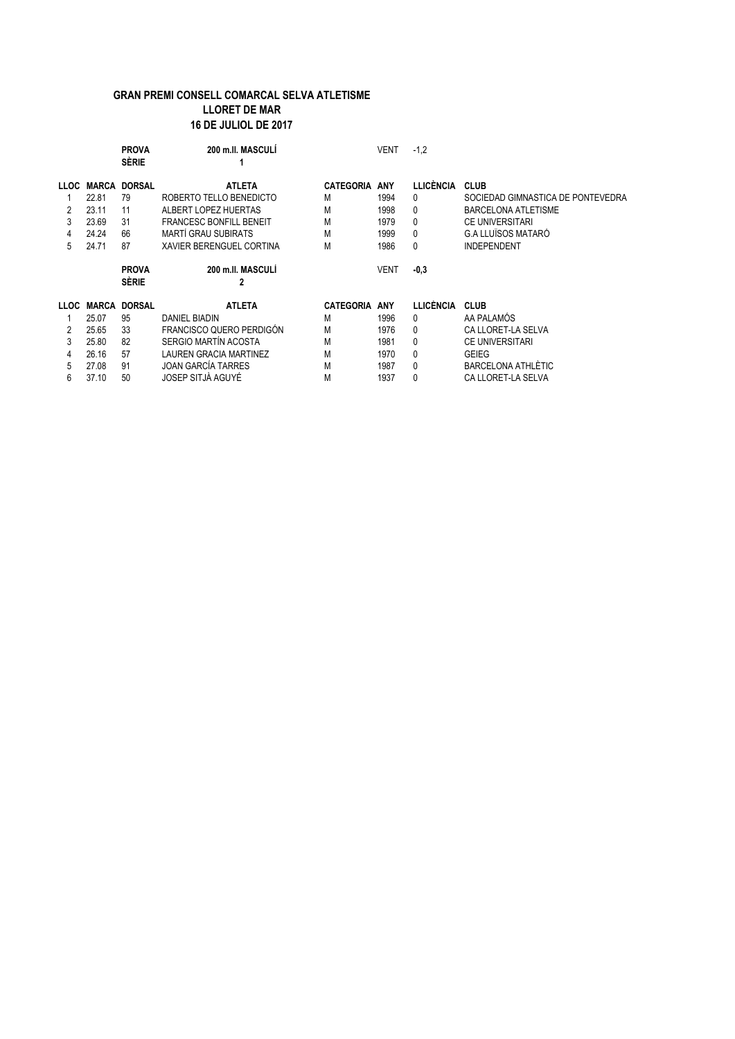|             |              | <b>PROVA</b><br><b>SÈRIE</b> | 200 m.II. MASCULI              |                  | VENT       | $-1,2$           |                                   |
|-------------|--------------|------------------------------|--------------------------------|------------------|------------|------------------|-----------------------------------|
| <b>LLOC</b> | MARCA        | <b>DORSAL</b>                | <b>ATLETA</b>                  | <b>CATEGORIA</b> | ANY        | <b>LLICÈNCIA</b> | <b>CLUB</b>                       |
|             | 22.81        | 79                           | ROBERTO TELLO BENEDICTO        | M                | 1994       | 0                | SOCIEDAD GIMNASTICA DE PONTEVEDRA |
| 2           | 23.11        | 11                           | ALBERT LOPEZ HUERTAS           | М                | 1998       | 0                | <b>BARCELONA ATLETISME</b>        |
| 3           | 23.69        | 31                           | <b>FRANCESC BONFILL BENEIT</b> | M                | 1979       | 0                | <b>CE UNIVERSITARI</b>            |
|             | 24.24        | 66                           | <b>MARTÍ GRAU SUBIRATS</b>     | M                | 1999       | 0                | <b>G.A LLUÏSOS MATARÓ</b>         |
| 5           | 24.71        | 87                           | XAVIER BERENGUEL CORTINA       | М                | 1986       | 0                | <b>INDEPENDENT</b>                |
|             |              | <b>PROVA</b><br><b>SÈRIE</b> | 200 m.ll. MASCULI<br>2         |                  | VENT       | $-0.3$           |                                   |
| <b>LLOC</b> | <b>MARCA</b> | <b>DORSAL</b>                | <b>ATLETA</b>                  | <b>CATEGORIA</b> | <b>ANY</b> | <b>LLICÈNCIA</b> | <b>CLUB</b>                       |
|             | 25.07        | 95                           | DANIEL BIADIN                  | M                | 1996       | 0                | AA PALAMÓS                        |
| 2           | 25.65        | 33                           | FRANCISCO QUERO PERDIGÓN       | M                | 1976       | 0                | CA LLORET-LA SELVA                |
| 3           | 25.80        | 82                           | SERGIO MARTÍN ACOSTA           | M                | 1981       | 0                | <b>CE UNIVERSITARI</b>            |
|             | 26.16        | 57                           | <b>LAUREN GRACIA MARTINEZ</b>  | M                | 1970       | 0                | <b>GEIEG</b>                      |
| 5           | 27.08        | 91                           | <b>JOAN GARCÍA TARRES</b>      | M                | 1987       | 0                | BARCELONA ATHLÈTIC                |
| 6           | 37.10        | 50                           | JOSEP SITJÀ AGUYÉ              | M                | 1937       | 0                | CA LLORET-LA SELVA                |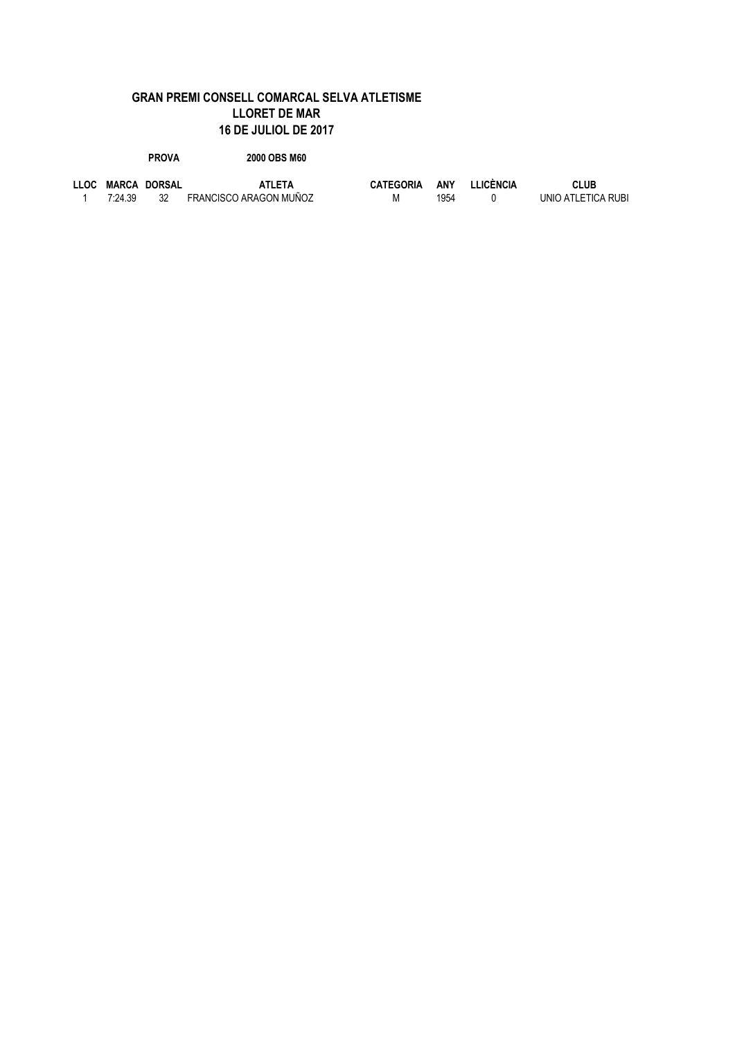| <b>PROVA</b> | 2000 OBS M60 |
|--------------|--------------|

|         | LLOC MARCA DORSAL | <b>ATLETA</b>          | <b>CATEGORIA</b> | ANY  | LLICÈNCIA | <b>CLUB</b>        |
|---------|-------------------|------------------------|------------------|------|-----------|--------------------|
| 7:24.39 |                   | FRANCISCO ARAGON MUÑOZ | M                | 1954 |           | UNIO ATLETICA RUBI |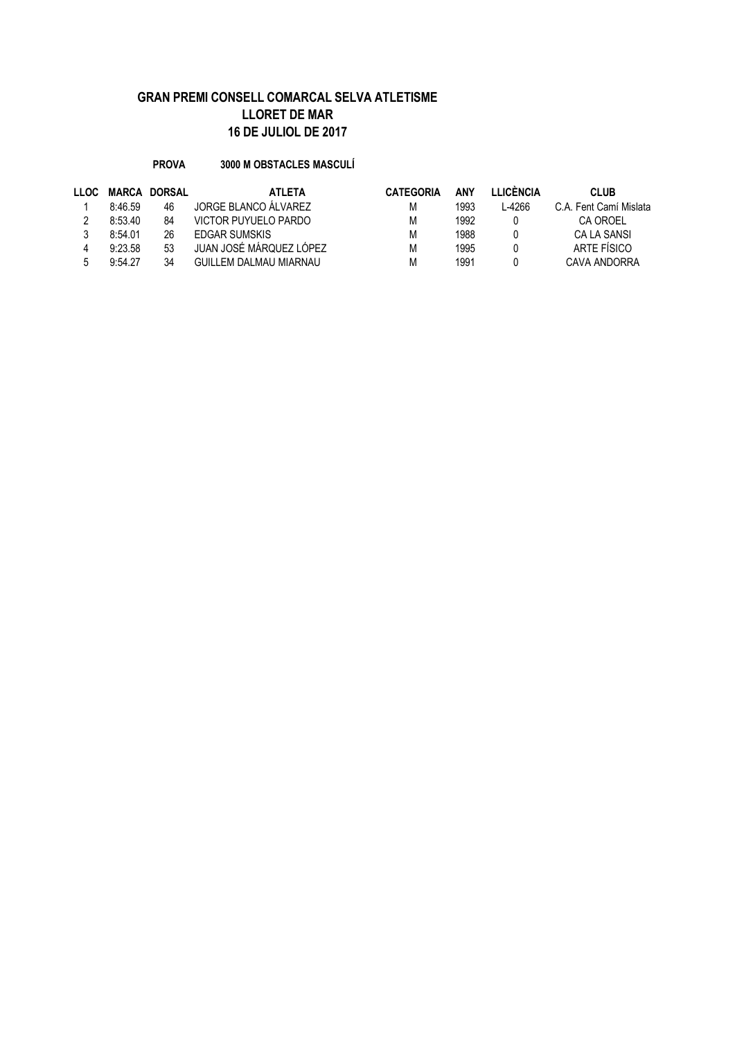#### **PROVA 3000 M OBSTACLES MASCULÍ**

| <b>LLOC</b> | <b>MARCA</b> | DORSAL | <b>ATLETA</b>           | <b>CATEGORIA</b> | ANY  | <b>I LICÈNCIA</b> | <b>CLUB</b>            |
|-------------|--------------|--------|-------------------------|------------------|------|-------------------|------------------------|
|             | 8:46.59      | 46     | JORGE BLANCO ÁLVAREZ    | М                | 1993 | -4266             | C.A. Fent Camí Mislata |
|             | 8:53.40      | 84     | VICTOR PUYUELO PARDO    | Μ                | 1992 |                   | CA OROEL               |
|             | 8:54.01      | 26     | <b>FDGAR SUMSKIS</b>    | М                | 1988 |                   | CA LA SANSI            |
|             | 9:23.58      | 53     | JUAN JOSÉ MÁRQUEZ LÓPEZ | М                | 1995 |                   | ARTE FÍSICO            |
|             | 9:54.27      | 34     | GUILLEM DALMAU MIARNAU  | М                | 1991 |                   | CAVA ANDORRA           |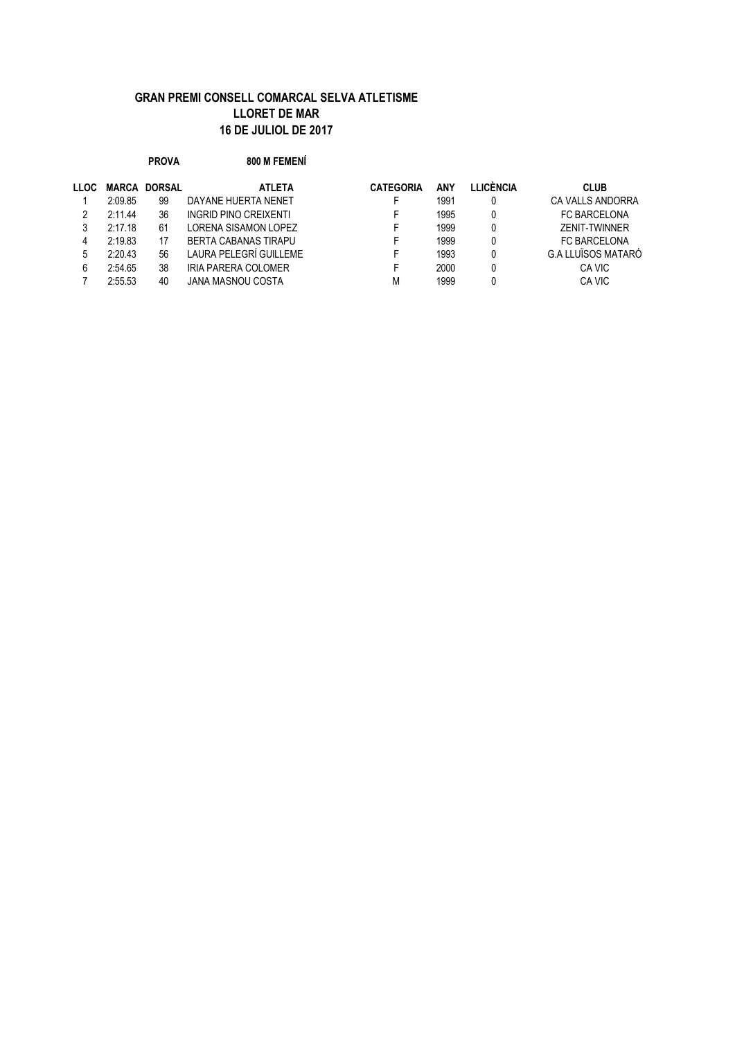|             |         | <b>PROVA</b>  | 800 M FEMENÍ           |                  |            |                  |                           |
|-------------|---------|---------------|------------------------|------------------|------------|------------------|---------------------------|
| <b>LLOC</b> | MARCA   | <b>DORSAL</b> | <b>ATLETA</b>          | <b>CATEGORIA</b> | <b>ANY</b> | <b>LLICÈNCIA</b> | <b>CLUB</b>               |
|             | 2:09.85 | 99            | DAYANE HUERTA NENET    |                  | 1991       |                  | CA VALLS ANDORRA          |
| 2           | 2:11.44 | 36            | INGRID PINO CREIXENTI  |                  | 1995       |                  | FC BARCELONA              |
| 3           | 2:17.18 | 61            | LORENA SISAMON LOPEZ   |                  | 1999       |                  | <b>ZENIT-TWINNER</b>      |
| 4           | 2:19.83 | 17            | BERTA CABANAS TIRAPU   |                  | 1999       |                  | <b>FC BARCELONA</b>       |
| 5           | 2:20.43 | 56            | LAURA PELEGRÍ GUILLEME |                  | 1993       | $\mathbf{0}$     | <b>G.A LLUÏSOS MATARÓ</b> |
| 6           | 2:54.65 | 38            | IRIA PARERA COLOMER    |                  | 2000       |                  | CA VIC                    |
|             | 2:55.53 | 40            | JANA MASNOU COSTA      | M                | 1999       |                  | CA VIC                    |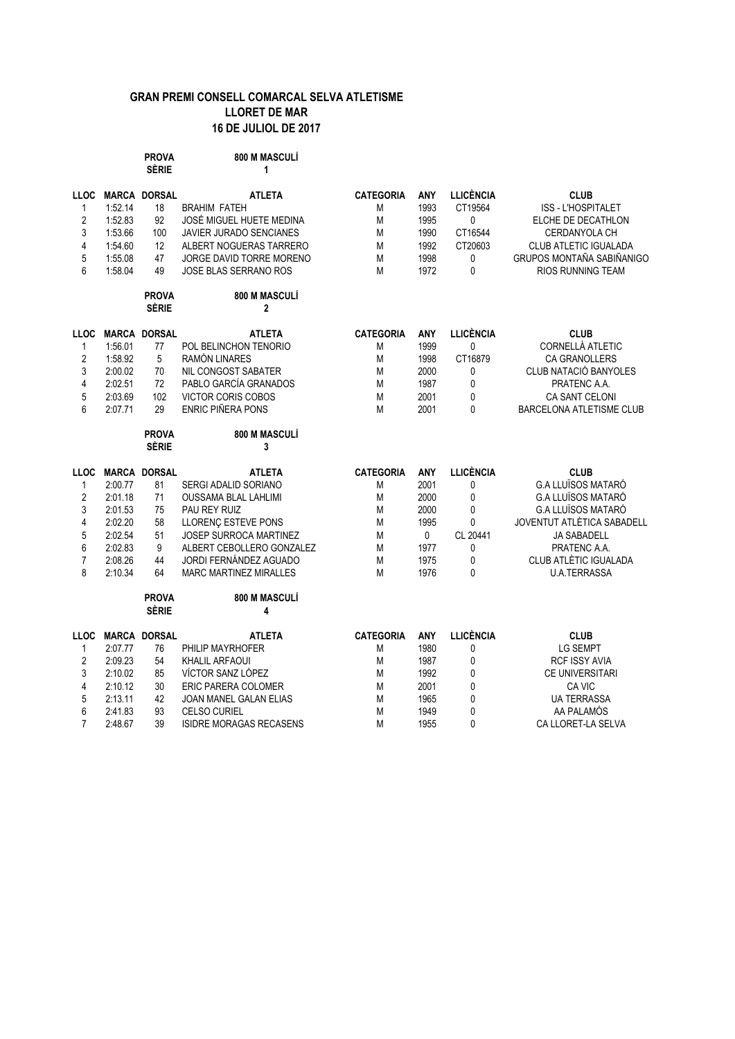|                |         | <b>PROVA</b><br><b>SÈRIE</b> | 800 M MASCULÍ<br>1             |                  |            |                  |                            |
|----------------|---------|------------------------------|--------------------------------|------------------|------------|------------------|----------------------------|
| <b>LLOC</b>    |         | <b>MARCA DORSAL</b>          | <b>ATLETA</b>                  | <b>CATEGORIA</b> | <b>ANY</b> | <b>LLICÈNCIA</b> | <b>CLUB</b>                |
| 1              | 1:52.14 | 18                           | <b>BRAHIM FATEH</b>            | М                | 1993       | CT19564          | <b>ISS - L'HOSPITALET</b>  |
| $\sqrt{2}$     | 1:52.83 | 92                           | JOSÉ MIGUEL HUETE MEDINA       | М                | 1995       | $\mathbf 0$      | ELCHE DE DECATHLON         |
| 3              | 1:53.66 | 100                          | <b>JAVIER JURADO SENCIANES</b> | М                | 1990       | CT16544          | CERDANYOLA CH              |
| 4              | 1:54.60 | 12                           | ALBERT NOGUERAS TARRERO        | М                | 1992       | CT20603          | CLUB ATLETIC IGUALADA      |
| 5              | 1:55.08 | 47                           | JORGE DAVID TORRE MORENO       | М                | 1998       | 0                | GRUPOS MONTAÑA SABIÑANIGC  |
| 6              | 1:58.04 | 49                           | <b>JOSE BLAS SERRANO ROS</b>   | М                | 1972       | 0                | RIOS RUNNING TEAM          |
|                |         | <b>PROVA</b><br><b>SÈRIE</b> | 800 M MASCULÍ<br>$\mathbf 2$   |                  |            |                  |                            |
| <b>LLOC</b>    |         | <b>MARCA DORSAL</b>          | <b>ATLETA</b>                  | <b>CATEGORIA</b> | ANY        | <b>LLICÈNCIA</b> | <b>CLUB</b>                |
| $\mathbf{1}$   | 1:56.01 | 77                           | POL BELINCHON TENORIO          | М                | 1999       | $\mathbf 0$      | CORNELLÀ ATLETIC           |
| $\overline{2}$ | 1:58.92 | 5                            | RAMÓN LINARES                  | М                | 1998       | CT16879          | <b>CA GRANOLLERS</b>       |
| 3              | 2:00.02 | 70                           | NIL CONGOST SABATER            | М                | 2000       | 0                | CLUB NATACIÓ BANYOLES      |
| 4              | 2:02.51 | 72                           | PABLO GARCÍA GRANADOS          | M                | 1987       | 0                | PRATENC A.A.               |
| 5              | 2:03.69 | 102                          | VICTOR CORIS COBOS             | М                | 2001       | 0                | <b>CA SANT CELONI</b>      |
| 6              | 2:07.71 | 29                           | <b>ENRIC PIÑERA PONS</b>       | М                | 2001       | 0                | BARCELONA ATLETISME CLUB   |
|                |         | <b>PROVA</b><br><b>SÈRIE</b> | 800 M MASCULÍ<br>3             |                  |            |                  |                            |
| <b>LLOC</b>    |         | <b>MARCA DORSAL</b>          | <b>ATLETA</b>                  | <b>CATEGORIA</b> | ANY        | <b>LLICÈNCIA</b> | <b>CLUB</b>                |
| $\mathbf{1}$   | 2:00.77 | 81                           | <b>SERGI ADALID SORIANO</b>    | М                | 2001       | 0                | <b>G.A LLUÏSOS MATARÓ</b>  |
| 2              | 2:01.18 | 71                           | <b>OUSSAMA BLAL LAHLIMI</b>    | М                | 2000       | 0                | <b>G.A LLUÏSOS MATARÓ</b>  |
| 3              | 2:01.53 | 75                           | PAU REY RUIZ                   | М                | 2000       | $\mathbf{0}$     | <b>G.A LLUÏSOS MATARÓ</b>  |
| 4              | 2:02.20 | 58                           | <b>LLORENÇ ESTEVE PONS</b>     | М                | 1995       | $\mathbf{0}$     | JOVENTUT ATLÈTICA SABADELL |
| 5              | 2:02.54 | 51                           | JOSEP SURROCA MARTINEZ         | М                | 0          | CL 20441         | JA SABADELL                |
| 6              | 2:02.83 | 9                            | ALBERT CEBOLLERO GONZALEZ      | М                | 1977       | 0                | PRATENC A.A.               |
| $\overline{7}$ | 2:08.26 | 44                           | JORDI FERNÁNDEZ AGUADO         | М                | 1975       | 0                | CLUB ATLÈTIC IGUALADA      |
| 8              | 2:10.34 | 64                           | <b>MARC MARTINEZ MIRALLES</b>  | М                | 1976       | 0                | <b>U.A.TERRASSA</b>        |
|                |         | <b>PROVA</b><br><b>SÈRIE</b> | 800 M MASCULÍ<br>4             |                  |            |                  |                            |
| <b>LLOC</b>    |         | <b>MARCA DORSAL</b>          | <b>ATLETA</b>                  | <b>CATEGORIA</b> | ANY        | <b>LLICÈNCIA</b> | <b>CLUB</b>                |
| $\mathbf{1}$   | 2:07.77 | 76                           | PHILIP MAYRHOFER               | M                | 1980       | 0                | <b>LG SEMPT</b>            |
| 2              | 2:09.23 | 54                           | <b>KHALIL ARFAOUI</b>          | М                | 1987       | 0                | RCF ISSY AVIA              |
| 3              | 2:10.02 | 85                           | VÍCTOR SANZ LÓPEZ              | М                | 1992       | 0                | <b>CE UNIVERSITARI</b>     |
| 4              | 2:10.12 | 30                           | <b>ERIC PARERA COLOMER</b>     | М                | 2001       | 0                | CA VIC                     |
| 5              | 2:13.11 | 42                           | <b>JOAN MANEL GALAN ELIAS</b>  | M                | 1965       | 0                | <b>UA TERRASSA</b>         |
| 6              | 2:41.83 | 93                           | <b>CELSO CURIEL</b>            | Μ                | 1949       | 0                | AA PALAMÓS                 |
| $\overline{7}$ | 2:48.67 | 39                           | <b>ISIDRE MORAGAS RECASENS</b> | М                | 1955       | $\mathbf 0$      | CA LLORET-LA SELVA         |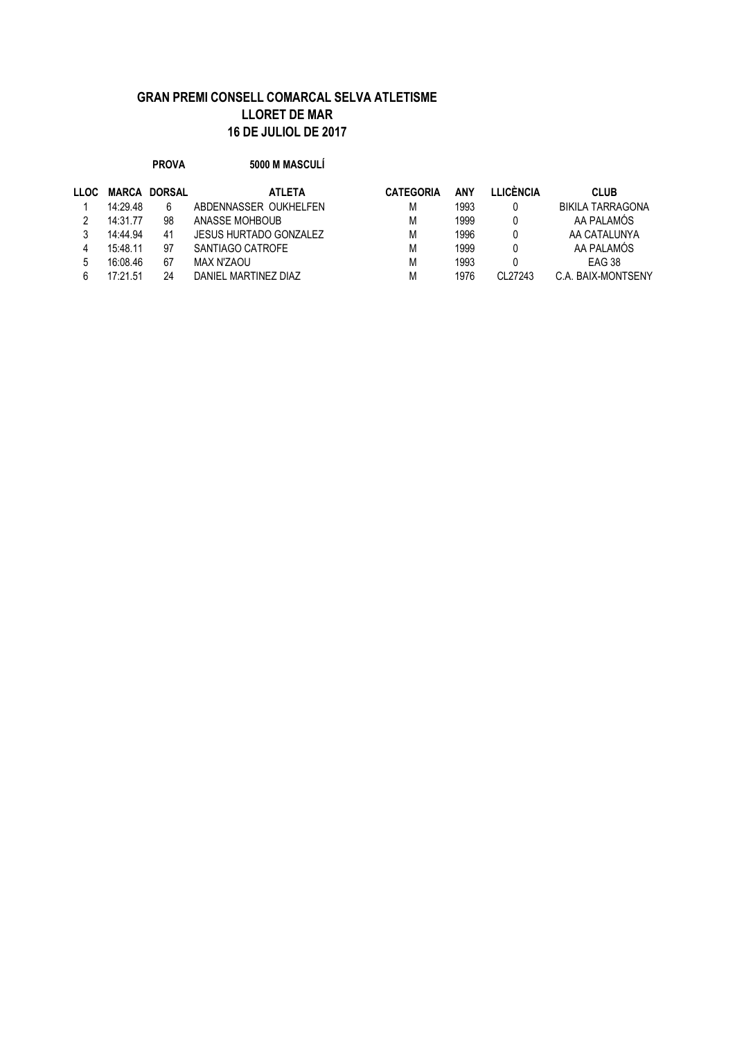**PROVA 5000 M MASCULÍ**

| <b>MARCA</b> |    | <b>ATLETA</b>                 | <b>CATEGORIA</b> | ANY  | I I ICÈNCIA | <b>CLUB</b>             |
|--------------|----|-------------------------------|------------------|------|-------------|-------------------------|
| 14:29.48     | 6  | ABDENNASSER OUKHELFEN         | М                | 1993 |             | <b>BIKILA TARRAGONA</b> |
| 14:31.77     | 98 | ANASSE MOHBOUR                | M                | 1999 |             | AA PALAMÓS              |
| 14:44.94     | 41 | <b>JESUS HURTADO GONZALEZ</b> | M                | 1996 |             | AA CATALUNYA            |
| 15:48.11     | 97 | SANTIAGO CATROFE              | M                | 1999 |             | AA PALAMÓS              |
| 16:08.46     | 67 | MAX N'ZAOU                    | M                | 1993 |             | EAG 38                  |
| 17:21.51     | 24 | DANIEL MARTINEZ DIAZ          | M                | 1976 | CI 27243    | C.A. BAIX-MONTSENY      |
|              |    | <b>DORSAL</b>                 |                  |      |             |                         |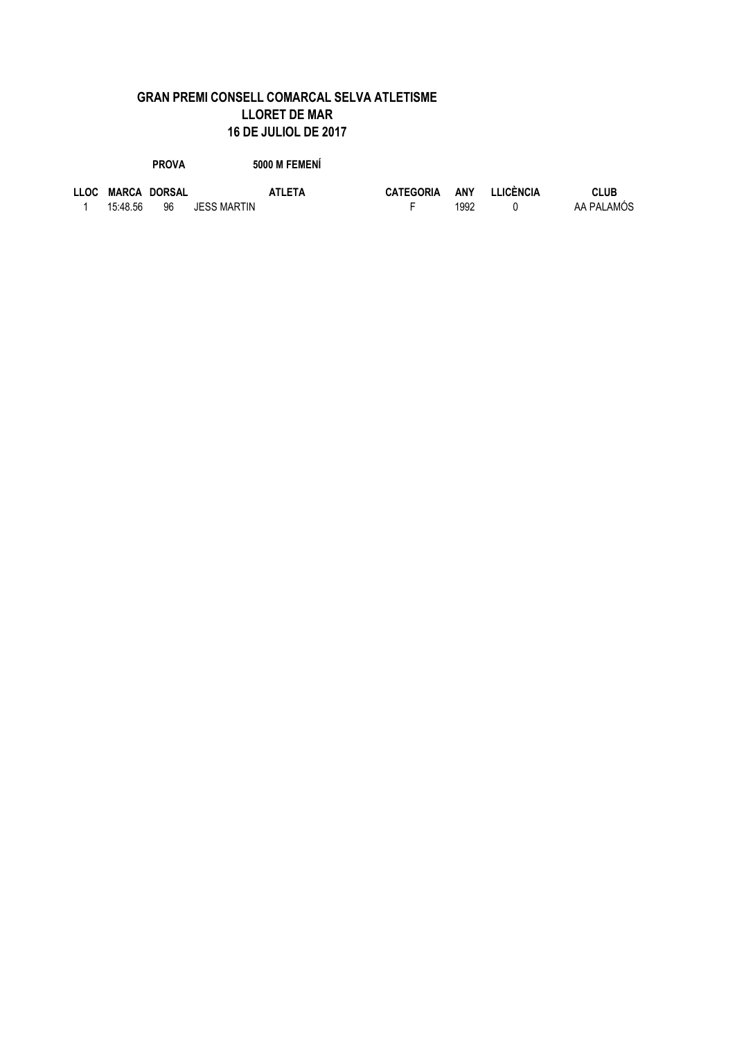**PROVA** 5000 M FEMENÍ

|          | LLOC MARCA DORSAL |             | <b>ATLETA</b> | <b>CATEGORIA</b> |      | ANY LLICÈNCIA | <b>CLUB</b> |
|----------|-------------------|-------------|---------------|------------------|------|---------------|-------------|
| 15:48.56 | 96                | JESS MARTIN |               |                  | 1992 |               | AA PALAMÓS  |